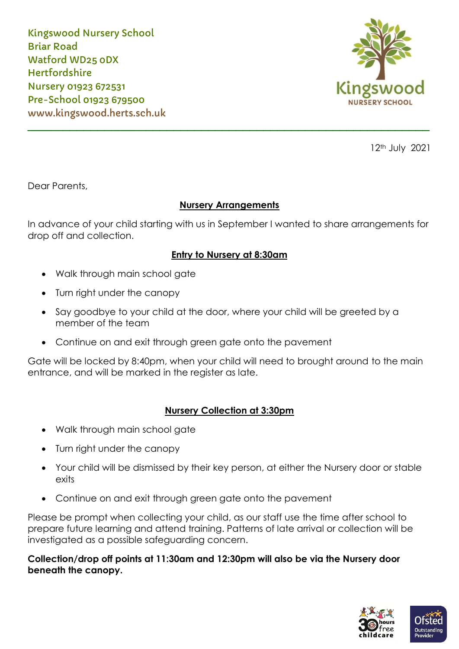Kingswood Nursery School Briar Road Watford WD25 0DX **Hertfordshire** Nursery 01923 672531 Pre-School 01923 679500 www.kingswood.herts.sch.uk



12th July 2021

Dear Parents,

## **Nursery Arrangements**

\_\_\_\_\_\_\_\_\_\_\_\_\_\_\_\_\_\_\_\_\_\_\_\_\_\_\_\_\_\_\_\_\_\_\_\_\_\_\_\_\_\_\_\_\_\_\_\_\_\_\_\_\_\_\_\_\_\_

In advance of your child starting with us in September I wanted to share arrangements for drop off and collection.

## **Entry to Nursery at 8:30am**

- Walk through main school gate
- Turn right under the canopy
- Say goodbye to your child at the door, where your child will be greeted by a member of the team
- Continue on and exit through green gate onto the pavement

Gate will be locked by 8:40pm, when your child will need to brought around to the main entrance, and will be marked in the register as late.

## **Nursery Collection at 3:30pm**

- Walk through main school gate
- Turn right under the canopy
- Your child will be dismissed by their key person, at either the Nursery door or stable exits
- Continue on and exit through green gate onto the pavement

Please be prompt when collecting your child, as our staff use the time after school to prepare future learning and attend training. Patterns of late arrival or collection will be investigated as a possible safeguarding concern.

**Collection/drop off points at 11:30am and 12:30pm will also be via the Nursery door beneath the canopy.**